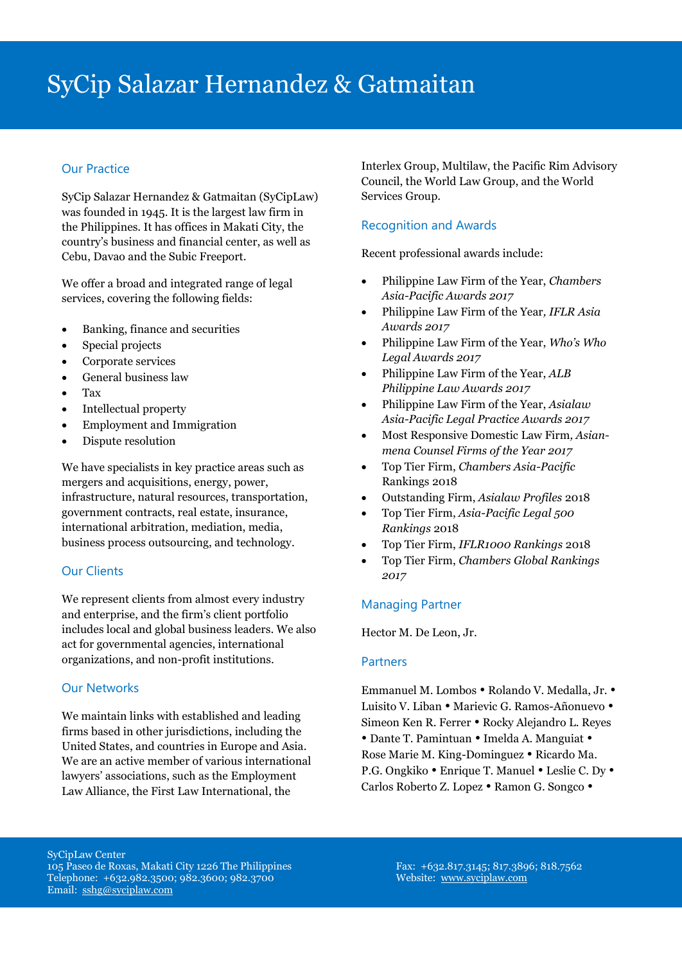# SyCip Salazar Hernandez & Gatmaitan

# Our Practice

SyCip Salazar Hernandez & Gatmaitan (SyCipLaw) was founded in 1945. It is the largest law firm in the Philippines. It has offices in Makati City, the country's business and financial center, as well as Cebu, Davao and the Subic Freeport.

We offer a broad and integrated range of legal services, covering the following fields:

- Banking, finance and securities
- Special projects
- Corporate services
- General business law
- Tax
- Intellectual property
- Employment and Immigration
- Dispute resolution

We have specialists in key practice areas such as mergers and acquisitions, energy, power, infrastructure, natural resources, transportation, government contracts, real estate, insurance, international arbitration, mediation, media, business process outsourcing, and technology.

# Our Clients

We represent clients from almost every industry and enterprise, and the firm's client portfolio includes local and global business leaders. We also act for governmental agencies, international organizations, and non-profit institutions.

# Our Networks

We maintain links with established and leading firms based in other jurisdictions, including the United States, and countries in Europe and Asia. We are an active member of various international lawyers' associations, such as the Employment Law Alliance, the First Law International, the

Interlex Group, Multilaw, the Pacific Rim Advisory Council, the World Law Group, and the World Services Group.

# Recognition and Awards

Recent professional awards include:

- Philippine Law Firm of the Year, *Chambers Asia-Pacific Awards 2017*
- Philippine Law Firm of the Year*, IFLR Asia Awards 2017*
- Philippine Law Firm of the Year, *Who's Who Legal Awards 2017*
- Philippine Law Firm of the Year, *ALB Philippine Law Awards 2017*
- Philippine Law Firm of the Year, *Asialaw Asia-Pacific Legal Practice Awards 2017*
- Most Responsive Domestic Law Firm*, Asianmena Counsel Firms of the Year 2017*
- Top Tier Firm, *Chambers Asia-Pacific* Rankings 2018
- Outstanding Firm, *Asialaw Profiles* 2018
- Top Tier Firm, *Asia-Pacific Legal 500 Rankings* 2018
- Top Tier Firm, *IFLR1000 Rankings* 2018
- Top Tier Firm, *Chambers Global Rankings 2017*

# Managing Partner

Hector M. De Leon, Jr.

#### **Partners**

Emmanuel M. Lombos . Rolando V. Medalla, Jr. . Luisito V. Liban · Marievic G. Ramos-Añonuevo · Simeon Ken R. Ferrer • Rocky Alejandro L. Reyes • Dante T. Pamintuan • Imelda A. Manguiat • Rose Marie M. King-Dominguez • Ricardo Ma. P.G. Ongkiko • Enrique T. Manuel • Leslie C. Dy • Carlos Roberto Z. Lopez • Ramon G. Songco •

SyCipLaw Center 105 Paseo de Roxas, Makati City 1226 The Philippines Telephone: +632.982.3500; 982.3600; 982.3700 Email: [sshg@syciplaw.com](mailto:sshg@syciplaw.com)

Fax: +632.817.3145; 817.3896; 818.7562 Website: [www.syciplaw.com](http://www.syciplaw.com/)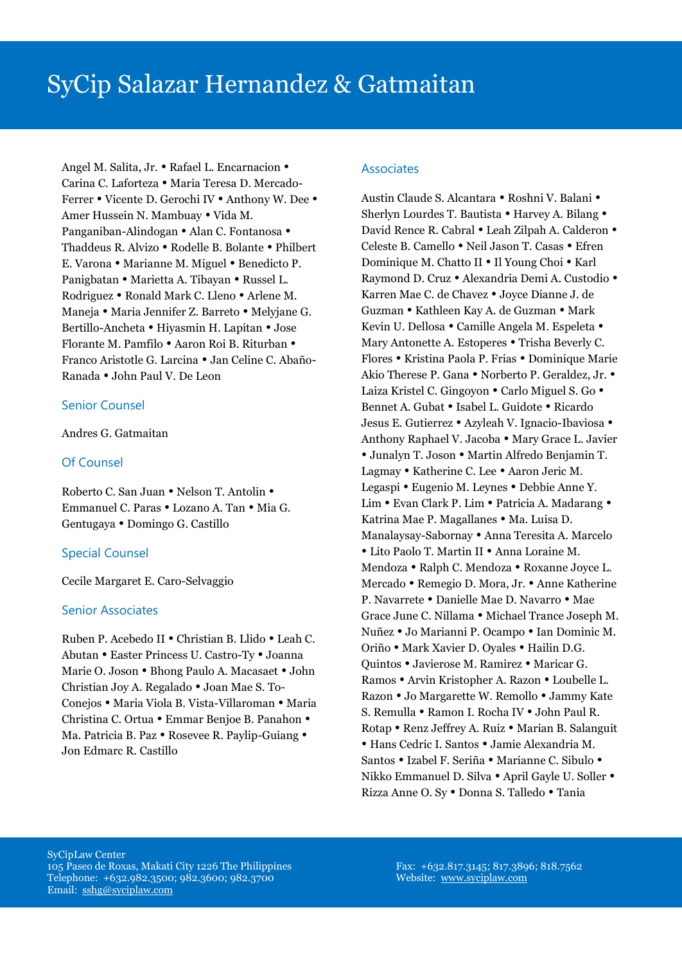Angel M. Salita, Jr. • Rafael L. Encarnacion • Carina C. Laforteza · Maria Teresa D. Mercado-Ferrer • Vicente D. Gerochi IV • Anthony W. Dee • Amer Hussein N. Mambuay . Vida M. Panganiban-Alindogan • Alan C. Fontanosa • Thaddeus R. Alvizo . Rodelle B. Bolante . Philbert E. Varona • Marianne M. Miguel • Benedicto P. Panigbatan • Marietta A. Tibayan • Russel L. Rodriguez • Ronald Mark C. Lleno • Arlene M. Maneja • Maria Jennifer Z. Barreto • Melyjane G. Bertillo-Ancheta • Hiyasmin H. Lapitan • Jose Florante M. Pamfilo . Aaron Roi B. Riturban . Franco Aristotle G. Larcina • Jan Celine C. Abaño-Ranada John Paul V. De Leon

#### Senior Counsel

Andres G. Gatmaitan

#### Of Counsel

Roberto C. San Juan • Nelson T. Antolin • Emmanuel C. Paras . Lozano A. Tan . Mia G. Gentugaya • Domingo G. Castillo

# Special Counsel

Cecile Margaret E. Caro-Selvaggio

#### Senior Associates

Ruben P. Acebedo II • Christian B. Llido • Leah C. Abutan Easter Princess U. Castro-Ty Joanna Marie O. Joson • Bhong Paulo A. Macasaet • John Christian Joy A. Regalado Joan Mae S. To-Conejos • Maria Viola B. Vista-Villaroman • Maria Christina C. Ortua • Emmar Benjoe B. Panahon • Ma. Patricia B. Paz • Rosevee R. Paylip-Guiang • Jon Edmarc R. Castillo

#### **Associates**

Austin Claude S. Alcantara . Roshni V. Balani . Sherlyn Lourdes T. Bautista • Harvey A. Bilang • David Rence R. Cabral . Leah Zilpah A. Calderon . Celeste B. Camello . Neil Jason T. Casas . Efren Dominique M. Chatto II • Il Young Choi • Karl Raymond D. Cruz · Alexandria Demi A. Custodio · Karren Mae C. de Chavez • Joyce Dianne J. de Guzman • Kathleen Kay A. de Guzman • Mark Kevin U. Dellosa • Camille Angela M. Espeleta • Mary Antonette A. Estoperes . Trisha Beverly C. Flores Kristina Paola P. Frias Dominique Marie Akio Therese P. Gana . Norberto P. Geraldez, Jr. . Laiza Kristel C. Gingoyon • Carlo Miguel S. Go • Bennet A. Gubat . Isabel L. Guidote . Ricardo Jesus E. Gutierrez • Azyleah V. Ignacio-Ibaviosa • Anthony Raphael V. Jacoba • Mary Grace L. Javier • Junalyn T. Joson • Martin Alfredo Benjamin T. Lagmay • Katherine C. Lee • Aaron Jeric M. Legaspi • Eugenio M. Leynes • Debbie Anne Y. Lim • Evan Clark P. Lim • Patricia A. Madarang • Katrina Mae P. Magallanes . Ma. Luisa D. Manalaysay-Sabornay Anna Teresita A. Marcelo • Lito Paolo T. Martin II • Anna Loraine M. Mendoza • Ralph C. Mendoza • Roxanne Joyce L. Mercado • Remegio D. Mora, Jr. • Anne Katherine P. Navarrete · Danielle Mae D. Navarro · Mae Grace June C. Nillama • Michael Trance Joseph M. Nuñez • Jo Marianni P. Ocampo • Ian Dominic M. Oriño • Mark Xavier D. Oyales • Hailin D.G. Quintos • Javierose M. Ramirez • Maricar G. Ramos • Arvin Kristopher A. Razon • Loubelle L. Razon • Jo Margarette W. Remollo • Jammy Kate S. Remulla • Ramon I. Rocha IV • John Paul R. Rotap • Renz Jeffrey A. Ruiz • Marian B. Salanguit Hans Cedric I. Santos Jamie Alexandria M. Santos · Izabel F. Seriña · Marianne C. Sibulo · Nikko Emmanuel D. Silva • April Gayle U. Soller • Rizza Anne O. Sy · Donna S. Talledo · Tania

SyCipLaw Center 105 Paseo de Roxas, Makati City 1226 The Philippines Telephone: +632.982.3500; 982.3600; 982.3700 Email: [sshg@syciplaw.com](mailto:sshg@syciplaw.com)

Fax: +632.817.3145; 817.3896; 818.7562 Website: [www.syciplaw.com](http://www.syciplaw.com/)